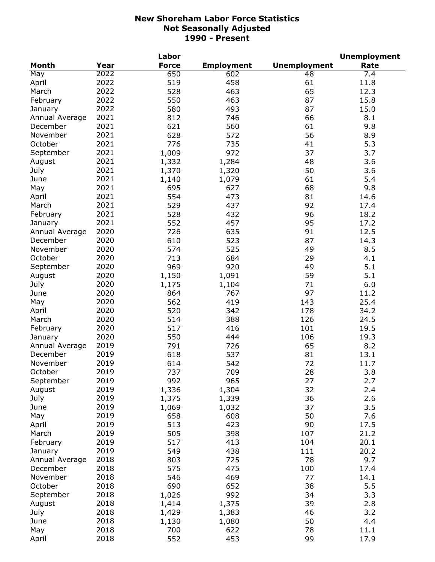|                |      | Labor        |                   |                     | <b>Unemployment</b> |
|----------------|------|--------------|-------------------|---------------------|---------------------|
| <b>Month</b>   | Year | <b>Force</b> | <b>Employment</b> | <b>Unemployment</b> | Rate                |
| May            | 2022 | 650          | 602               | 48                  | 7.4                 |
| April          | 2022 | 519          | 458               | 61                  | 11.8                |
| March          | 2022 | 528          | 463               | 65                  | 12.3                |
| February       | 2022 | 550          | 463               | 87                  | 15.8                |
| January        | 2022 | 580          | 493               | 87                  | 15.0                |
| Annual Average | 2021 | 812          | 746               | 66                  | 8.1                 |
| December       | 2021 | 621          | 560               | 61                  | 9.8                 |
| November       | 2021 | 628          | 572               | 56                  | 8.9                 |
| October        | 2021 | 776          | 735               | 41                  | 5.3                 |
| September      | 2021 | 1,009        | 972               | 37                  | 3.7                 |
| August         | 2021 | 1,332        | 1,284             | 48                  | 3.6                 |
| July           | 2021 | 1,370        | 1,320             | 50                  | 3.6                 |
| June           | 2021 | 1,140        | 1,079             | 61                  | 5.4                 |
| May            | 2021 | 695          | 627               | 68                  | 9.8                 |
| April          | 2021 | 554          | 473               | 81                  | 14.6                |
| March          | 2021 | 529          | 437               | 92                  | 17.4                |
| February       | 2021 | 528          | 432               | 96                  | 18.2                |
|                | 2021 | 552          | 457               | 95                  | 17.2                |
| January        | 2020 |              | 635               |                     |                     |
| Annual Average |      | 726          |                   | 91                  | 12.5                |
| December       | 2020 | 610          | 523               | 87                  | 14.3                |
| November       | 2020 | 574          | 525               | 49                  | 8.5                 |
| October        | 2020 | 713          | 684               | 29                  | 4.1                 |
| September      | 2020 | 969          | 920               | 49                  | 5.1                 |
| August         | 2020 | 1,150        | 1,091             | 59                  | 5.1                 |
| July           | 2020 | 1,175        | 1,104             | 71                  | 6.0                 |
| June           | 2020 | 864          | 767               | 97                  | 11.2                |
| May            | 2020 | 562          | 419               | 143                 | 25.4                |
| April          | 2020 | 520          | 342               | 178                 | 34.2                |
| March          | 2020 | 514          | 388               | 126                 | 24.5                |
| February       | 2020 | 517          | 416               | 101                 | 19.5                |
| January        | 2020 | 550          | 444               | 106                 | 19.3                |
| Annual Average | 2019 | 791          | 726               | 65                  | 8.2                 |
| December       | 2019 | 618          | 537               | 81                  | 13.1                |
| November       | 2019 | 614          | 542               | 72                  | 11.7                |
| October        | 2019 | 737          | 709               | 28                  | 3.8                 |
| September      | 2019 | 992          | 965               | 27                  | 2.7                 |
| August         | 2019 | 1,336        | 1,304             | 32                  | 2.4                 |
| July           | 2019 | 1,375        | 1,339             | 36                  | 2.6                 |
| June           | 2019 | 1,069        | 1,032             | 37                  | 3.5                 |
| May            | 2019 | 658          | 608               | 50                  | 7.6                 |
| April          | 2019 | 513          | 423               | 90                  | 17.5                |
| March          | 2019 | 505          | 398               | 107                 | 21.2                |
| February       | 2019 | 517          | 413               | 104                 | 20.1                |
| January        | 2019 | 549          | 438               | 111                 | 20.2                |
| Annual Average | 2018 | 803          | 725               | 78                  | 9.7                 |
| December       | 2018 | 575          | 475               | 100                 | 17.4                |
| November       | 2018 | 546          | 469               | 77                  | 14.1                |
| October        | 2018 | 690          | 652               | 38                  | 5.5                 |
| September      | 2018 | 1,026        | 992               | 34                  | 3.3                 |
| August         | 2018 | 1,414        | 1,375             | 39                  | 2.8                 |
| July           | 2018 | 1,429        | 1,383             | 46                  | 3.2                 |
| June           | 2018 | 1,130        | 1,080             | 50                  | 4.4                 |
| May            | 2018 | 700          | 622               | 78                  | 11.1                |
| April          | 2018 | 552          | 453               | 99                  | 17.9                |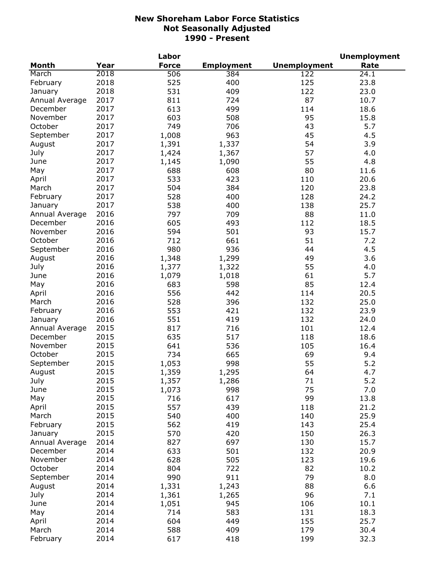|                |      | Labor        |                   |                     | <b>Unemployment</b> |
|----------------|------|--------------|-------------------|---------------------|---------------------|
| <b>Month</b>   | Year | <b>Force</b> | <b>Employment</b> | <b>Unemployment</b> | Rate                |
| March          | 2018 | 506          | 384               | 122                 | 24.1                |
| February       | 2018 | 525          | 400               | 125                 | 23.8                |
| January        | 2018 | 531          | 409               | 122                 | 23.0                |
| Annual Average | 2017 | 811          | 724               | 87                  | 10.7                |
| December       | 2017 | 613          | 499               | 114                 | 18.6                |
| November       | 2017 | 603          | 508               | 95                  | 15.8                |
| October        | 2017 | 749          | 706               | 43                  | 5.7                 |
| September      | 2017 | 1,008        | 963               | 45                  | 4.5                 |
| August         | 2017 | 1,391        | 1,337             | 54                  | 3.9                 |
| July           | 2017 | 1,424        | 1,367             | 57                  | 4.0                 |
| June           | 2017 | 1,145        | 1,090             | 55                  | 4.8                 |
|                | 2017 | 688          | 608               | 80                  |                     |
| May            | 2017 | 533          | 423               |                     | 11.6                |
| April          |      |              |                   | 110                 | 20.6                |
| March          | 2017 | 504          | 384               | 120                 | 23.8                |
| February       | 2017 | 528          | 400               | 128                 | 24.2                |
| January        | 2017 | 538          | 400               | 138                 | 25.7                |
| Annual Average | 2016 | 797          | 709               | 88                  | 11.0                |
| December       | 2016 | 605          | 493               | 112                 | 18.5                |
| November       | 2016 | 594          | 501               | 93                  | 15.7                |
| October        | 2016 | 712          | 661               | 51                  | 7.2                 |
| September      | 2016 | 980          | 936               | 44                  | 4.5                 |
| August         | 2016 | 1,348        | 1,299             | 49                  | 3.6                 |
| July           | 2016 | 1,377        | 1,322             | 55                  | 4.0                 |
| June           | 2016 | 1,079        | 1,018             | 61                  | 5.7                 |
| May            | 2016 | 683          | 598               | 85                  | 12.4                |
| April          | 2016 | 556          | 442               | 114                 | 20.5                |
| March          | 2016 | 528          | 396               | 132                 | 25.0                |
| February       | 2016 | 553          | 421               | 132                 | 23.9                |
| January        | 2016 | 551          | 419               | 132                 | 24.0                |
| Annual Average | 2015 | 817          | 716               | 101                 | 12.4                |
| December       | 2015 | 635          | 517               | 118                 | 18.6                |
| November       | 2015 | 641          | 536               | 105                 | 16.4                |
| October        | 2015 | 734          | 665               | 69                  | 9.4                 |
| September      | 2015 | 1,053        | 998               | 55                  | 5.2                 |
| August         | 2015 | 1,359        | 1,295             | 64                  | 4.7                 |
| July           | 2015 | 1,357        | 1,286             | 71                  | 5.2                 |
| June           | 2015 | 1,073        | 998               | 75                  | 7.0                 |
| May            | 2015 | 716          | 617               | 99                  | 13.8                |
| April          | 2015 | 557          | 439               | 118                 | 21.2                |
| March          | 2015 | 540          | 400               | 140                 | 25.9                |
|                |      |              |                   |                     |                     |
| February       | 2015 | 562          | 419               | 143                 | 25.4                |
| January        | 2015 | 570          | 420               | 150                 | 26.3                |
| Annual Average | 2014 | 827          | 697               | 130                 | 15.7                |
| December       | 2014 | 633          | 501               | 132                 | 20.9                |
| November       | 2014 | 628          | 505               | 123                 | 19.6                |
| October        | 2014 | 804          | 722               | 82                  | 10.2                |
| September      | 2014 | 990          | 911               | 79                  | 8.0                 |
| August         | 2014 | 1,331        | 1,243             | 88                  | 6.6                 |
| July           | 2014 | 1,361        | 1,265             | 96                  | 7.1                 |
| June           | 2014 | 1,051        | 945               | 106                 | 10.1                |
| May            | 2014 | 714          | 583               | 131                 | 18.3                |
| April          | 2014 | 604          | 449               | 155                 | 25.7                |
| March          | 2014 | 588          | 409               | 179                 | 30.4                |
| February       | 2014 | 617          | 418               | 199                 | 32.3                |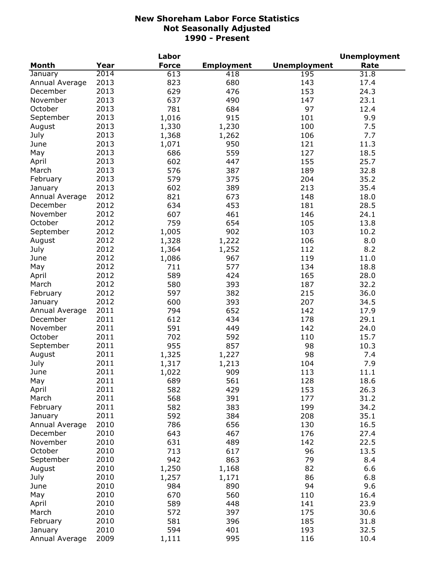| <b>Month</b><br><b>Force</b><br><b>Employment</b><br><b>Unemployment</b><br>Rate<br>Year<br>2014<br>613<br>January<br>418<br>195<br>31.8<br>2013<br>680<br>Annual Average<br>823<br>143<br>17.4<br>2013<br>629<br>476<br>153<br>24.3<br>December<br>2013<br>490<br>November<br>637<br>147<br>23.1<br>2013<br>97<br>October<br>781<br>684<br>12.4<br>9.9<br>2013<br>1,016<br>915<br>101<br>September<br>2013<br>1,330<br>1,230<br>100<br>7.5<br>August<br>2013<br>1,368<br>July<br>1,262<br>106<br>7.7<br>2013<br>950<br>1,071<br>121<br>11.3<br>June<br>2013<br>686<br>559<br>127<br>18.5<br>May<br>2013<br>602<br>447<br>155<br>25.7<br>April<br>2013<br>387<br>576<br>189<br>32.8<br>March<br>2013<br>579<br>375<br>204<br>35.2<br>February<br>602<br>389<br>2013<br>213<br>35.4<br>January<br>2012<br>821<br>673<br>148<br>18.0<br>Annual Average<br>2012<br>634<br>453<br>December<br>181<br>28.5<br>2012<br>607<br>461<br>November<br>146<br>24.1<br>2012<br>October<br>759<br>654<br>105<br>13.8<br>2012<br>September<br>1,005<br>902<br>103<br>10.2<br>2012<br>1,222<br>106<br>8.0<br>August<br>1,328<br>2012<br>July<br>1,364<br>1,252<br>112<br>8.2<br>2012<br>1,086<br>967<br>119<br>11.0<br>June<br>2012<br>711<br>577<br>134<br>18.8<br>May<br>2012<br>589<br>424<br>165<br>28.0<br>April<br>2012<br>580<br>393<br>March<br>187<br>32.2<br>2012<br>382<br>597<br>215<br>36.0<br>February<br>2012<br>393<br>600<br>207<br>34.5<br>January<br>2011<br>652<br>794<br>142<br>17.9<br>Annual Average<br>2011<br>434<br>December<br>612<br>178<br>29.1<br>2011<br>November<br>591<br>449<br>142<br>24.0<br>2011<br>October<br>702<br>592<br>110<br>15.7<br>2011<br>857<br>September<br>955<br>98<br>10.3<br>2011<br>1,325<br>1,227<br>98<br>August<br>7.4<br>2011<br>7.9<br>July<br>1,317<br>1,213<br>104<br>June<br>2011<br>1,022<br>909<br>113<br>11.1<br>2011<br>689<br>561<br>May<br>128<br>18.6<br>2011<br>582<br>429<br>April<br>153<br>26.3<br>391<br>2011<br>568<br>March<br>177<br>31.2<br>582<br>383<br>199<br>34.2<br>2011<br>February<br>2011<br>592<br>384<br>208<br>35.1<br>January<br>2010<br>656<br>786<br>130<br>16.5<br>Annual Average<br>2010<br>643<br>467<br>176<br>December<br>27.4<br>2010<br>631<br>489<br>142<br>22.5<br>November<br>October<br>2010<br>713<br>617<br>96<br>13.5<br>2010<br>942<br>863<br>79<br>8.4<br>September<br>2010<br>1,250<br>82<br>6.6<br>1,168<br>August<br>2010<br>86<br>6.8<br>July<br>1,257<br>1,171<br>2010<br>890<br>94<br>9.6<br>June<br>984<br>2010<br>May<br>670<br>560<br>110<br>16.4<br>2010<br>589<br>448<br>April<br>141<br>23.9<br>2010<br>397<br>175<br>March<br>572<br>30.6<br>2010<br>185<br>February<br>581<br>396<br>31.8<br>2010<br>594<br>401<br>193<br>32.5<br>January |                |      | Labor |     |     | <b>Unemployment</b> |
|-----------------------------------------------------------------------------------------------------------------------------------------------------------------------------------------------------------------------------------------------------------------------------------------------------------------------------------------------------------------------------------------------------------------------------------------------------------------------------------------------------------------------------------------------------------------------------------------------------------------------------------------------------------------------------------------------------------------------------------------------------------------------------------------------------------------------------------------------------------------------------------------------------------------------------------------------------------------------------------------------------------------------------------------------------------------------------------------------------------------------------------------------------------------------------------------------------------------------------------------------------------------------------------------------------------------------------------------------------------------------------------------------------------------------------------------------------------------------------------------------------------------------------------------------------------------------------------------------------------------------------------------------------------------------------------------------------------------------------------------------------------------------------------------------------------------------------------------------------------------------------------------------------------------------------------------------------------------------------------------------------------------------------------------------------------------------------------------------------------------------------------------------------------------------------------------------------------------------------------------------------------------------------------------------------------------------------------------------------------------------------------------------------------------------------------------------------------------------------------------------------------------------------------------------------------------------------------------------------------------------------------------------------------------------------------------------------------------------------------------------------|----------------|------|-------|-----|-----|---------------------|
|                                                                                                                                                                                                                                                                                                                                                                                                                                                                                                                                                                                                                                                                                                                                                                                                                                                                                                                                                                                                                                                                                                                                                                                                                                                                                                                                                                                                                                                                                                                                                                                                                                                                                                                                                                                                                                                                                                                                                                                                                                                                                                                                                                                                                                                                                                                                                                                                                                                                                                                                                                                                                                                                                                                                                     |                |      |       |     |     |                     |
|                                                                                                                                                                                                                                                                                                                                                                                                                                                                                                                                                                                                                                                                                                                                                                                                                                                                                                                                                                                                                                                                                                                                                                                                                                                                                                                                                                                                                                                                                                                                                                                                                                                                                                                                                                                                                                                                                                                                                                                                                                                                                                                                                                                                                                                                                                                                                                                                                                                                                                                                                                                                                                                                                                                                                     |                |      |       |     |     |                     |
|                                                                                                                                                                                                                                                                                                                                                                                                                                                                                                                                                                                                                                                                                                                                                                                                                                                                                                                                                                                                                                                                                                                                                                                                                                                                                                                                                                                                                                                                                                                                                                                                                                                                                                                                                                                                                                                                                                                                                                                                                                                                                                                                                                                                                                                                                                                                                                                                                                                                                                                                                                                                                                                                                                                                                     |                |      |       |     |     |                     |
|                                                                                                                                                                                                                                                                                                                                                                                                                                                                                                                                                                                                                                                                                                                                                                                                                                                                                                                                                                                                                                                                                                                                                                                                                                                                                                                                                                                                                                                                                                                                                                                                                                                                                                                                                                                                                                                                                                                                                                                                                                                                                                                                                                                                                                                                                                                                                                                                                                                                                                                                                                                                                                                                                                                                                     |                |      |       |     |     |                     |
|                                                                                                                                                                                                                                                                                                                                                                                                                                                                                                                                                                                                                                                                                                                                                                                                                                                                                                                                                                                                                                                                                                                                                                                                                                                                                                                                                                                                                                                                                                                                                                                                                                                                                                                                                                                                                                                                                                                                                                                                                                                                                                                                                                                                                                                                                                                                                                                                                                                                                                                                                                                                                                                                                                                                                     |                |      |       |     |     |                     |
|                                                                                                                                                                                                                                                                                                                                                                                                                                                                                                                                                                                                                                                                                                                                                                                                                                                                                                                                                                                                                                                                                                                                                                                                                                                                                                                                                                                                                                                                                                                                                                                                                                                                                                                                                                                                                                                                                                                                                                                                                                                                                                                                                                                                                                                                                                                                                                                                                                                                                                                                                                                                                                                                                                                                                     |                |      |       |     |     |                     |
|                                                                                                                                                                                                                                                                                                                                                                                                                                                                                                                                                                                                                                                                                                                                                                                                                                                                                                                                                                                                                                                                                                                                                                                                                                                                                                                                                                                                                                                                                                                                                                                                                                                                                                                                                                                                                                                                                                                                                                                                                                                                                                                                                                                                                                                                                                                                                                                                                                                                                                                                                                                                                                                                                                                                                     |                |      |       |     |     |                     |
|                                                                                                                                                                                                                                                                                                                                                                                                                                                                                                                                                                                                                                                                                                                                                                                                                                                                                                                                                                                                                                                                                                                                                                                                                                                                                                                                                                                                                                                                                                                                                                                                                                                                                                                                                                                                                                                                                                                                                                                                                                                                                                                                                                                                                                                                                                                                                                                                                                                                                                                                                                                                                                                                                                                                                     |                |      |       |     |     |                     |
|                                                                                                                                                                                                                                                                                                                                                                                                                                                                                                                                                                                                                                                                                                                                                                                                                                                                                                                                                                                                                                                                                                                                                                                                                                                                                                                                                                                                                                                                                                                                                                                                                                                                                                                                                                                                                                                                                                                                                                                                                                                                                                                                                                                                                                                                                                                                                                                                                                                                                                                                                                                                                                                                                                                                                     |                |      |       |     |     |                     |
|                                                                                                                                                                                                                                                                                                                                                                                                                                                                                                                                                                                                                                                                                                                                                                                                                                                                                                                                                                                                                                                                                                                                                                                                                                                                                                                                                                                                                                                                                                                                                                                                                                                                                                                                                                                                                                                                                                                                                                                                                                                                                                                                                                                                                                                                                                                                                                                                                                                                                                                                                                                                                                                                                                                                                     |                |      |       |     |     |                     |
|                                                                                                                                                                                                                                                                                                                                                                                                                                                                                                                                                                                                                                                                                                                                                                                                                                                                                                                                                                                                                                                                                                                                                                                                                                                                                                                                                                                                                                                                                                                                                                                                                                                                                                                                                                                                                                                                                                                                                                                                                                                                                                                                                                                                                                                                                                                                                                                                                                                                                                                                                                                                                                                                                                                                                     |                |      |       |     |     |                     |
|                                                                                                                                                                                                                                                                                                                                                                                                                                                                                                                                                                                                                                                                                                                                                                                                                                                                                                                                                                                                                                                                                                                                                                                                                                                                                                                                                                                                                                                                                                                                                                                                                                                                                                                                                                                                                                                                                                                                                                                                                                                                                                                                                                                                                                                                                                                                                                                                                                                                                                                                                                                                                                                                                                                                                     |                |      |       |     |     |                     |
|                                                                                                                                                                                                                                                                                                                                                                                                                                                                                                                                                                                                                                                                                                                                                                                                                                                                                                                                                                                                                                                                                                                                                                                                                                                                                                                                                                                                                                                                                                                                                                                                                                                                                                                                                                                                                                                                                                                                                                                                                                                                                                                                                                                                                                                                                                                                                                                                                                                                                                                                                                                                                                                                                                                                                     |                |      |       |     |     |                     |
|                                                                                                                                                                                                                                                                                                                                                                                                                                                                                                                                                                                                                                                                                                                                                                                                                                                                                                                                                                                                                                                                                                                                                                                                                                                                                                                                                                                                                                                                                                                                                                                                                                                                                                                                                                                                                                                                                                                                                                                                                                                                                                                                                                                                                                                                                                                                                                                                                                                                                                                                                                                                                                                                                                                                                     |                |      |       |     |     |                     |
|                                                                                                                                                                                                                                                                                                                                                                                                                                                                                                                                                                                                                                                                                                                                                                                                                                                                                                                                                                                                                                                                                                                                                                                                                                                                                                                                                                                                                                                                                                                                                                                                                                                                                                                                                                                                                                                                                                                                                                                                                                                                                                                                                                                                                                                                                                                                                                                                                                                                                                                                                                                                                                                                                                                                                     |                |      |       |     |     |                     |
|                                                                                                                                                                                                                                                                                                                                                                                                                                                                                                                                                                                                                                                                                                                                                                                                                                                                                                                                                                                                                                                                                                                                                                                                                                                                                                                                                                                                                                                                                                                                                                                                                                                                                                                                                                                                                                                                                                                                                                                                                                                                                                                                                                                                                                                                                                                                                                                                                                                                                                                                                                                                                                                                                                                                                     |                |      |       |     |     |                     |
|                                                                                                                                                                                                                                                                                                                                                                                                                                                                                                                                                                                                                                                                                                                                                                                                                                                                                                                                                                                                                                                                                                                                                                                                                                                                                                                                                                                                                                                                                                                                                                                                                                                                                                                                                                                                                                                                                                                                                                                                                                                                                                                                                                                                                                                                                                                                                                                                                                                                                                                                                                                                                                                                                                                                                     |                |      |       |     |     |                     |
|                                                                                                                                                                                                                                                                                                                                                                                                                                                                                                                                                                                                                                                                                                                                                                                                                                                                                                                                                                                                                                                                                                                                                                                                                                                                                                                                                                                                                                                                                                                                                                                                                                                                                                                                                                                                                                                                                                                                                                                                                                                                                                                                                                                                                                                                                                                                                                                                                                                                                                                                                                                                                                                                                                                                                     |                |      |       |     |     |                     |
|                                                                                                                                                                                                                                                                                                                                                                                                                                                                                                                                                                                                                                                                                                                                                                                                                                                                                                                                                                                                                                                                                                                                                                                                                                                                                                                                                                                                                                                                                                                                                                                                                                                                                                                                                                                                                                                                                                                                                                                                                                                                                                                                                                                                                                                                                                                                                                                                                                                                                                                                                                                                                                                                                                                                                     |                |      |       |     |     |                     |
|                                                                                                                                                                                                                                                                                                                                                                                                                                                                                                                                                                                                                                                                                                                                                                                                                                                                                                                                                                                                                                                                                                                                                                                                                                                                                                                                                                                                                                                                                                                                                                                                                                                                                                                                                                                                                                                                                                                                                                                                                                                                                                                                                                                                                                                                                                                                                                                                                                                                                                                                                                                                                                                                                                                                                     |                |      |       |     |     |                     |
|                                                                                                                                                                                                                                                                                                                                                                                                                                                                                                                                                                                                                                                                                                                                                                                                                                                                                                                                                                                                                                                                                                                                                                                                                                                                                                                                                                                                                                                                                                                                                                                                                                                                                                                                                                                                                                                                                                                                                                                                                                                                                                                                                                                                                                                                                                                                                                                                                                                                                                                                                                                                                                                                                                                                                     |                |      |       |     |     |                     |
|                                                                                                                                                                                                                                                                                                                                                                                                                                                                                                                                                                                                                                                                                                                                                                                                                                                                                                                                                                                                                                                                                                                                                                                                                                                                                                                                                                                                                                                                                                                                                                                                                                                                                                                                                                                                                                                                                                                                                                                                                                                                                                                                                                                                                                                                                                                                                                                                                                                                                                                                                                                                                                                                                                                                                     |                |      |       |     |     |                     |
|                                                                                                                                                                                                                                                                                                                                                                                                                                                                                                                                                                                                                                                                                                                                                                                                                                                                                                                                                                                                                                                                                                                                                                                                                                                                                                                                                                                                                                                                                                                                                                                                                                                                                                                                                                                                                                                                                                                                                                                                                                                                                                                                                                                                                                                                                                                                                                                                                                                                                                                                                                                                                                                                                                                                                     |                |      |       |     |     |                     |
|                                                                                                                                                                                                                                                                                                                                                                                                                                                                                                                                                                                                                                                                                                                                                                                                                                                                                                                                                                                                                                                                                                                                                                                                                                                                                                                                                                                                                                                                                                                                                                                                                                                                                                                                                                                                                                                                                                                                                                                                                                                                                                                                                                                                                                                                                                                                                                                                                                                                                                                                                                                                                                                                                                                                                     |                |      |       |     |     |                     |
|                                                                                                                                                                                                                                                                                                                                                                                                                                                                                                                                                                                                                                                                                                                                                                                                                                                                                                                                                                                                                                                                                                                                                                                                                                                                                                                                                                                                                                                                                                                                                                                                                                                                                                                                                                                                                                                                                                                                                                                                                                                                                                                                                                                                                                                                                                                                                                                                                                                                                                                                                                                                                                                                                                                                                     |                |      |       |     |     |                     |
|                                                                                                                                                                                                                                                                                                                                                                                                                                                                                                                                                                                                                                                                                                                                                                                                                                                                                                                                                                                                                                                                                                                                                                                                                                                                                                                                                                                                                                                                                                                                                                                                                                                                                                                                                                                                                                                                                                                                                                                                                                                                                                                                                                                                                                                                                                                                                                                                                                                                                                                                                                                                                                                                                                                                                     |                |      |       |     |     |                     |
|                                                                                                                                                                                                                                                                                                                                                                                                                                                                                                                                                                                                                                                                                                                                                                                                                                                                                                                                                                                                                                                                                                                                                                                                                                                                                                                                                                                                                                                                                                                                                                                                                                                                                                                                                                                                                                                                                                                                                                                                                                                                                                                                                                                                                                                                                                                                                                                                                                                                                                                                                                                                                                                                                                                                                     |                |      |       |     |     |                     |
|                                                                                                                                                                                                                                                                                                                                                                                                                                                                                                                                                                                                                                                                                                                                                                                                                                                                                                                                                                                                                                                                                                                                                                                                                                                                                                                                                                                                                                                                                                                                                                                                                                                                                                                                                                                                                                                                                                                                                                                                                                                                                                                                                                                                                                                                                                                                                                                                                                                                                                                                                                                                                                                                                                                                                     |                |      |       |     |     |                     |
|                                                                                                                                                                                                                                                                                                                                                                                                                                                                                                                                                                                                                                                                                                                                                                                                                                                                                                                                                                                                                                                                                                                                                                                                                                                                                                                                                                                                                                                                                                                                                                                                                                                                                                                                                                                                                                                                                                                                                                                                                                                                                                                                                                                                                                                                                                                                                                                                                                                                                                                                                                                                                                                                                                                                                     |                |      |       |     |     |                     |
|                                                                                                                                                                                                                                                                                                                                                                                                                                                                                                                                                                                                                                                                                                                                                                                                                                                                                                                                                                                                                                                                                                                                                                                                                                                                                                                                                                                                                                                                                                                                                                                                                                                                                                                                                                                                                                                                                                                                                                                                                                                                                                                                                                                                                                                                                                                                                                                                                                                                                                                                                                                                                                                                                                                                                     |                |      |       |     |     |                     |
|                                                                                                                                                                                                                                                                                                                                                                                                                                                                                                                                                                                                                                                                                                                                                                                                                                                                                                                                                                                                                                                                                                                                                                                                                                                                                                                                                                                                                                                                                                                                                                                                                                                                                                                                                                                                                                                                                                                                                                                                                                                                                                                                                                                                                                                                                                                                                                                                                                                                                                                                                                                                                                                                                                                                                     |                |      |       |     |     |                     |
|                                                                                                                                                                                                                                                                                                                                                                                                                                                                                                                                                                                                                                                                                                                                                                                                                                                                                                                                                                                                                                                                                                                                                                                                                                                                                                                                                                                                                                                                                                                                                                                                                                                                                                                                                                                                                                                                                                                                                                                                                                                                                                                                                                                                                                                                                                                                                                                                                                                                                                                                                                                                                                                                                                                                                     |                |      |       |     |     |                     |
|                                                                                                                                                                                                                                                                                                                                                                                                                                                                                                                                                                                                                                                                                                                                                                                                                                                                                                                                                                                                                                                                                                                                                                                                                                                                                                                                                                                                                                                                                                                                                                                                                                                                                                                                                                                                                                                                                                                                                                                                                                                                                                                                                                                                                                                                                                                                                                                                                                                                                                                                                                                                                                                                                                                                                     |                |      |       |     |     |                     |
|                                                                                                                                                                                                                                                                                                                                                                                                                                                                                                                                                                                                                                                                                                                                                                                                                                                                                                                                                                                                                                                                                                                                                                                                                                                                                                                                                                                                                                                                                                                                                                                                                                                                                                                                                                                                                                                                                                                                                                                                                                                                                                                                                                                                                                                                                                                                                                                                                                                                                                                                                                                                                                                                                                                                                     |                |      |       |     |     |                     |
|                                                                                                                                                                                                                                                                                                                                                                                                                                                                                                                                                                                                                                                                                                                                                                                                                                                                                                                                                                                                                                                                                                                                                                                                                                                                                                                                                                                                                                                                                                                                                                                                                                                                                                                                                                                                                                                                                                                                                                                                                                                                                                                                                                                                                                                                                                                                                                                                                                                                                                                                                                                                                                                                                                                                                     |                |      |       |     |     |                     |
|                                                                                                                                                                                                                                                                                                                                                                                                                                                                                                                                                                                                                                                                                                                                                                                                                                                                                                                                                                                                                                                                                                                                                                                                                                                                                                                                                                                                                                                                                                                                                                                                                                                                                                                                                                                                                                                                                                                                                                                                                                                                                                                                                                                                                                                                                                                                                                                                                                                                                                                                                                                                                                                                                                                                                     |                |      |       |     |     |                     |
|                                                                                                                                                                                                                                                                                                                                                                                                                                                                                                                                                                                                                                                                                                                                                                                                                                                                                                                                                                                                                                                                                                                                                                                                                                                                                                                                                                                                                                                                                                                                                                                                                                                                                                                                                                                                                                                                                                                                                                                                                                                                                                                                                                                                                                                                                                                                                                                                                                                                                                                                                                                                                                                                                                                                                     |                |      |       |     |     |                     |
|                                                                                                                                                                                                                                                                                                                                                                                                                                                                                                                                                                                                                                                                                                                                                                                                                                                                                                                                                                                                                                                                                                                                                                                                                                                                                                                                                                                                                                                                                                                                                                                                                                                                                                                                                                                                                                                                                                                                                                                                                                                                                                                                                                                                                                                                                                                                                                                                                                                                                                                                                                                                                                                                                                                                                     |                |      |       |     |     |                     |
|                                                                                                                                                                                                                                                                                                                                                                                                                                                                                                                                                                                                                                                                                                                                                                                                                                                                                                                                                                                                                                                                                                                                                                                                                                                                                                                                                                                                                                                                                                                                                                                                                                                                                                                                                                                                                                                                                                                                                                                                                                                                                                                                                                                                                                                                                                                                                                                                                                                                                                                                                                                                                                                                                                                                                     |                |      |       |     |     |                     |
|                                                                                                                                                                                                                                                                                                                                                                                                                                                                                                                                                                                                                                                                                                                                                                                                                                                                                                                                                                                                                                                                                                                                                                                                                                                                                                                                                                                                                                                                                                                                                                                                                                                                                                                                                                                                                                                                                                                                                                                                                                                                                                                                                                                                                                                                                                                                                                                                                                                                                                                                                                                                                                                                                                                                                     |                |      |       |     |     |                     |
|                                                                                                                                                                                                                                                                                                                                                                                                                                                                                                                                                                                                                                                                                                                                                                                                                                                                                                                                                                                                                                                                                                                                                                                                                                                                                                                                                                                                                                                                                                                                                                                                                                                                                                                                                                                                                                                                                                                                                                                                                                                                                                                                                                                                                                                                                                                                                                                                                                                                                                                                                                                                                                                                                                                                                     |                |      |       |     |     |                     |
|                                                                                                                                                                                                                                                                                                                                                                                                                                                                                                                                                                                                                                                                                                                                                                                                                                                                                                                                                                                                                                                                                                                                                                                                                                                                                                                                                                                                                                                                                                                                                                                                                                                                                                                                                                                                                                                                                                                                                                                                                                                                                                                                                                                                                                                                                                                                                                                                                                                                                                                                                                                                                                                                                                                                                     |                |      |       |     |     |                     |
|                                                                                                                                                                                                                                                                                                                                                                                                                                                                                                                                                                                                                                                                                                                                                                                                                                                                                                                                                                                                                                                                                                                                                                                                                                                                                                                                                                                                                                                                                                                                                                                                                                                                                                                                                                                                                                                                                                                                                                                                                                                                                                                                                                                                                                                                                                                                                                                                                                                                                                                                                                                                                                                                                                                                                     |                |      |       |     |     |                     |
|                                                                                                                                                                                                                                                                                                                                                                                                                                                                                                                                                                                                                                                                                                                                                                                                                                                                                                                                                                                                                                                                                                                                                                                                                                                                                                                                                                                                                                                                                                                                                                                                                                                                                                                                                                                                                                                                                                                                                                                                                                                                                                                                                                                                                                                                                                                                                                                                                                                                                                                                                                                                                                                                                                                                                     |                |      |       |     |     |                     |
|                                                                                                                                                                                                                                                                                                                                                                                                                                                                                                                                                                                                                                                                                                                                                                                                                                                                                                                                                                                                                                                                                                                                                                                                                                                                                                                                                                                                                                                                                                                                                                                                                                                                                                                                                                                                                                                                                                                                                                                                                                                                                                                                                                                                                                                                                                                                                                                                                                                                                                                                                                                                                                                                                                                                                     |                |      |       |     |     |                     |
|                                                                                                                                                                                                                                                                                                                                                                                                                                                                                                                                                                                                                                                                                                                                                                                                                                                                                                                                                                                                                                                                                                                                                                                                                                                                                                                                                                                                                                                                                                                                                                                                                                                                                                                                                                                                                                                                                                                                                                                                                                                                                                                                                                                                                                                                                                                                                                                                                                                                                                                                                                                                                                                                                                                                                     |                |      |       |     |     |                     |
|                                                                                                                                                                                                                                                                                                                                                                                                                                                                                                                                                                                                                                                                                                                                                                                                                                                                                                                                                                                                                                                                                                                                                                                                                                                                                                                                                                                                                                                                                                                                                                                                                                                                                                                                                                                                                                                                                                                                                                                                                                                                                                                                                                                                                                                                                                                                                                                                                                                                                                                                                                                                                                                                                                                                                     |                |      |       |     |     |                     |
|                                                                                                                                                                                                                                                                                                                                                                                                                                                                                                                                                                                                                                                                                                                                                                                                                                                                                                                                                                                                                                                                                                                                                                                                                                                                                                                                                                                                                                                                                                                                                                                                                                                                                                                                                                                                                                                                                                                                                                                                                                                                                                                                                                                                                                                                                                                                                                                                                                                                                                                                                                                                                                                                                                                                                     |                |      |       |     |     |                     |
|                                                                                                                                                                                                                                                                                                                                                                                                                                                                                                                                                                                                                                                                                                                                                                                                                                                                                                                                                                                                                                                                                                                                                                                                                                                                                                                                                                                                                                                                                                                                                                                                                                                                                                                                                                                                                                                                                                                                                                                                                                                                                                                                                                                                                                                                                                                                                                                                                                                                                                                                                                                                                                                                                                                                                     |                |      |       |     |     |                     |
|                                                                                                                                                                                                                                                                                                                                                                                                                                                                                                                                                                                                                                                                                                                                                                                                                                                                                                                                                                                                                                                                                                                                                                                                                                                                                                                                                                                                                                                                                                                                                                                                                                                                                                                                                                                                                                                                                                                                                                                                                                                                                                                                                                                                                                                                                                                                                                                                                                                                                                                                                                                                                                                                                                                                                     |                |      |       |     |     |                     |
|                                                                                                                                                                                                                                                                                                                                                                                                                                                                                                                                                                                                                                                                                                                                                                                                                                                                                                                                                                                                                                                                                                                                                                                                                                                                                                                                                                                                                                                                                                                                                                                                                                                                                                                                                                                                                                                                                                                                                                                                                                                                                                                                                                                                                                                                                                                                                                                                                                                                                                                                                                                                                                                                                                                                                     |                |      |       |     |     |                     |
|                                                                                                                                                                                                                                                                                                                                                                                                                                                                                                                                                                                                                                                                                                                                                                                                                                                                                                                                                                                                                                                                                                                                                                                                                                                                                                                                                                                                                                                                                                                                                                                                                                                                                                                                                                                                                                                                                                                                                                                                                                                                                                                                                                                                                                                                                                                                                                                                                                                                                                                                                                                                                                                                                                                                                     |                |      |       |     |     |                     |
|                                                                                                                                                                                                                                                                                                                                                                                                                                                                                                                                                                                                                                                                                                                                                                                                                                                                                                                                                                                                                                                                                                                                                                                                                                                                                                                                                                                                                                                                                                                                                                                                                                                                                                                                                                                                                                                                                                                                                                                                                                                                                                                                                                                                                                                                                                                                                                                                                                                                                                                                                                                                                                                                                                                                                     |                |      |       |     |     |                     |
|                                                                                                                                                                                                                                                                                                                                                                                                                                                                                                                                                                                                                                                                                                                                                                                                                                                                                                                                                                                                                                                                                                                                                                                                                                                                                                                                                                                                                                                                                                                                                                                                                                                                                                                                                                                                                                                                                                                                                                                                                                                                                                                                                                                                                                                                                                                                                                                                                                                                                                                                                                                                                                                                                                                                                     |                |      |       |     |     |                     |
|                                                                                                                                                                                                                                                                                                                                                                                                                                                                                                                                                                                                                                                                                                                                                                                                                                                                                                                                                                                                                                                                                                                                                                                                                                                                                                                                                                                                                                                                                                                                                                                                                                                                                                                                                                                                                                                                                                                                                                                                                                                                                                                                                                                                                                                                                                                                                                                                                                                                                                                                                                                                                                                                                                                                                     |                |      |       |     |     |                     |
|                                                                                                                                                                                                                                                                                                                                                                                                                                                                                                                                                                                                                                                                                                                                                                                                                                                                                                                                                                                                                                                                                                                                                                                                                                                                                                                                                                                                                                                                                                                                                                                                                                                                                                                                                                                                                                                                                                                                                                                                                                                                                                                                                                                                                                                                                                                                                                                                                                                                                                                                                                                                                                                                                                                                                     | Annual Average | 2009 | 1,111 | 995 | 116 | 10.4                |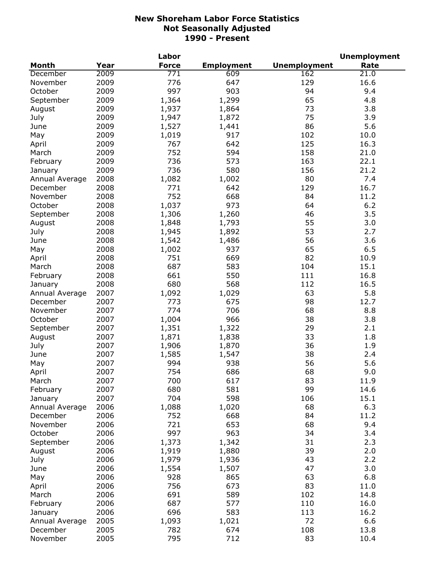|                |      | Labor            |                   |                     | <b>Unemployment</b> |
|----------------|------|------------------|-------------------|---------------------|---------------------|
| <b>Month</b>   | Year | <b>Force</b>     | <b>Employment</b> | <b>Unemployment</b> | Rate                |
| December       | 2009 | $\overline{771}$ | 609               | 162                 | 21.0                |
| November       | 2009 | 776              | 647               | 129                 | 16.6                |
| October        | 2009 | 997              | 903               | 94                  | 9.4                 |
| September      | 2009 | 1,364            | 1,299             | 65                  | 4.8                 |
| August         | 2009 | 1,937            | 1,864             | 73                  | 3.8                 |
| July           | 2009 | 1,947            | 1,872             | 75                  | 3.9                 |
| June           | 2009 | 1,527            | 1,441             | 86                  | 5.6                 |
| May            | 2009 | 1,019            | 917               | 102                 | 10.0                |
| April          | 2009 | 767              | 642               | 125                 | 16.3                |
| March          | 2009 | 752              | 594               | 158                 | 21.0                |
| February       | 2009 | 736              | 573               | 163                 | 22.1                |
| January        | 2009 | 736              | 580               | 156                 | 21.2                |
| Annual Average | 2008 | 1,082            | 1,002             | 80                  | 7.4                 |
| December       | 2008 | 771              | 642               | 129                 | 16.7                |
| November       | 2008 | 752              | 668               | 84                  | 11.2                |
| October        | 2008 | 1,037            | 973               | 64                  | 6.2                 |
| September      | 2008 | 1,306            | 1,260             | 46                  | 3.5                 |
| August         | 2008 | 1,848            | 1,793             | 55                  | 3.0                 |
| July           | 2008 | 1,945            | 1,892             | 53                  | 2.7                 |
| June           | 2008 | 1,542            | 1,486             | 56                  | 3.6                 |
| May            | 2008 | 1,002            | 937               | 65                  | 6.5                 |
| April          | 2008 | 751              | 669               | 82                  | 10.9                |
| March          | 2008 | 687              | 583               | 104                 | 15.1                |
| February       | 2008 | 661              | 550               | 111                 | 16.8                |
|                | 2008 | 680              | 568               | 112                 | 16.5                |
| January        |      |                  |                   | 63                  |                     |
| Annual Average | 2007 | 1,092            | 1,029             |                     | 5.8                 |
| December       | 2007 | 773              | 675               | 98                  | 12.7                |
| November       | 2007 | 774              | 706               | 68                  | 8.8                 |
| October        | 2007 | 1,004            | 966               | 38                  | 3.8                 |
| September      | 2007 | 1,351            | 1,322             | 29                  | 2.1                 |
| August         | 2007 | 1,871            | 1,838             | 33                  | 1.8                 |
| July           | 2007 | 1,906            | 1,870             | 36                  | 1.9                 |
| June           | 2007 | 1,585            | 1,547             | 38                  | 2.4                 |
| May            | 2007 | 994              | 938               | 56                  | 5.6                 |
| April          | 2007 | 754              | 686               | 68                  | 9.0                 |
| March          | 2007 | 700              | 617               | 83                  | 11.9                |
| February       | 2007 | 680              | 581               | 99                  | 14.6                |
| January        | 2007 | 704              | 598               | 106                 | 15.1                |
| Annual Average | 2006 | 1,088            | 1,020             | 68                  | 6.3                 |
| December       | 2006 | 752              | 668               | 84                  | 11.2                |
| November       | 2006 | 721              | 653               | 68                  | 9.4                 |
| October        | 2006 | 997              | 963               | 34                  | 3.4                 |
| September      | 2006 | 1,373            | 1,342             | 31                  | 2.3                 |
| August         | 2006 | 1,919            | 1,880             | 39                  | 2.0                 |
| July           | 2006 | 1,979            | 1,936             | 43                  | 2.2                 |
| June           | 2006 | 1,554            | 1,507             | 47                  | 3.0                 |
| May            | 2006 | 928              | 865               | 63                  | 6.8                 |
| April          | 2006 | 756              | 673               | 83                  | 11.0                |
| March          | 2006 | 691              | 589               | 102                 | 14.8                |
| February       | 2006 | 687              | 577               | 110                 | 16.0                |
| January        | 2006 | 696              | 583               | 113                 | 16.2                |
| Annual Average | 2005 | 1,093            | 1,021             | 72                  | 6.6                 |
| December       | 2005 | 782              | 674               | 108                 | 13.8                |
| November       | 2005 | 795              | 712               | 83                  | 10.4                |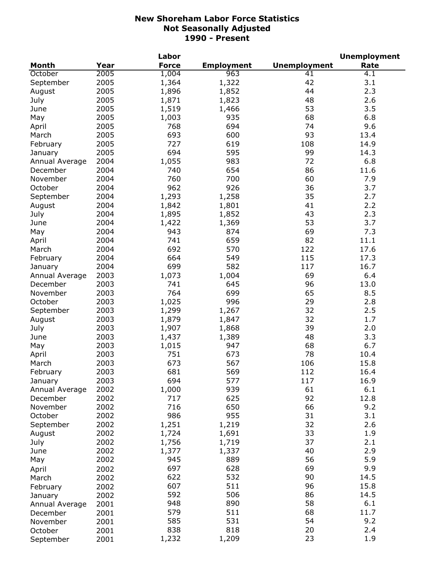|                |      | Labor        |                   |                     | <b>Unemployment</b> |
|----------------|------|--------------|-------------------|---------------------|---------------------|
| Month          | Year | <b>Force</b> | <b>Employment</b> | <b>Unemployment</b> | Rate                |
| October        | 2005 | 1,004        | 963               | 41                  | 4.1                 |
| September      | 2005 | 1,364        | 1,322             | 42                  | 3.1                 |
| August         | 2005 | 1,896        | 1,852             | 44                  | 2.3                 |
| July           | 2005 | 1,871        | 1,823             | 48                  | 2.6                 |
| June           | 2005 | 1,519        | 1,466             | 53                  | 3.5                 |
| May            | 2005 | 1,003        | 935               | 68                  | 6.8                 |
| April          | 2005 | 768          | 694               | 74                  | 9.6                 |
| March          | 2005 | 693          | 600               | 93                  | 13.4                |
| February       | 2005 | 727          | 619               | 108                 | 14.9                |
| January        | 2005 | 694          | 595               | 99                  | 14.3                |
| Annual Average | 2004 | 1,055        | 983               | 72                  | 6.8                 |
| December       | 2004 | 740          | 654               | 86                  | 11.6                |
| November       | 2004 | 760          | 700               | 60                  | 7.9                 |
| October        | 2004 | 962          | 926               | 36                  | 3.7                 |
|                | 2004 |              |                   | 35                  | 2.7                 |
| September      |      | 1,293        | 1,258             | 41                  | 2.2                 |
| August         | 2004 | 1,842        | 1,801             |                     |                     |
| July           | 2004 | 1,895        | 1,852             | 43                  | 2.3                 |
| June           | 2004 | 1,422        | 1,369             | 53                  | 3.7                 |
| May            | 2004 | 943          | 874               | 69                  | 7.3                 |
| April          | 2004 | 741          | 659               | 82                  | 11.1                |
| March          | 2004 | 692          | 570               | 122                 | 17.6                |
| February       | 2004 | 664          | 549               | 115                 | 17.3                |
| January        | 2004 | 699          | 582               | 117                 | 16.7                |
| Annual Average | 2003 | 1,073        | 1,004             | 69                  | 6.4                 |
| December       | 2003 | 741          | 645               | 96                  | 13.0                |
| November       | 2003 | 764          | 699               | 65                  | 8.5                 |
| October        | 2003 | 1,025        | 996               | 29                  | 2.8                 |
| September      | 2003 | 1,299        | 1,267             | 32                  | 2.5                 |
| August         | 2003 | 1,879        | 1,847             | 32                  | 1.7                 |
| July           | 2003 | 1,907        | 1,868             | 39                  | 2.0                 |
| June           | 2003 | 1,437        | 1,389             | 48                  | 3.3                 |
| May            | 2003 | 1,015        | 947               | 68                  | 6.7                 |
| April          | 2003 | 751          | 673               | 78                  | 10.4                |
| March          | 2003 | 673          | 567               | 106                 | 15.8                |
| February       | 2003 | 681          | 569               | 112                 | 16.4                |
| January        | 2003 | 694          | 577               | 117                 | 16.9                |
| Annual Average | 2002 | 1,000        | 939               | 61                  | 6.1                 |
| December       | 2002 | 717          | 625               | 92                  | 12.8                |
| November       | 2002 | 716          | 650               | 66                  | 9.2                 |
| October        | 2002 | 986          | 955               | 31                  | 3.1                 |
| September      | 2002 | 1,251        | 1,219             | 32                  | 2.6                 |
| August         | 2002 | 1,724        | 1,691             | 33                  | 1.9                 |
| July           | 2002 | 1,756        | 1,719             | 37                  | 2.1                 |
| June           | 2002 | 1,377        | 1,337             | 40                  | 2.9                 |
| May            | 2002 | 945          | 889               | 56                  | 5.9                 |
|                |      | 697          | 628               | 69                  | 9.9                 |
| April          | 2002 | 622          | 532               | 90                  | 14.5                |
| March          | 2002 |              |                   | 96                  |                     |
| February       | 2002 | 607          | 511               |                     | 15.8                |
| January        | 2002 | 592          | 506               | 86                  | 14.5                |
| Annual Average | 2001 | 948          | 890               | 58                  | 6.1                 |
| December       | 2001 | 579          | 511               | 68                  | 11.7                |
| November       | 2001 | 585          | 531               | 54                  | 9.2                 |
| October        | 2001 | 838          | 818               | 20                  | 2.4                 |
| September      | 2001 | 1,232        | 1,209             | 23                  | 1.9                 |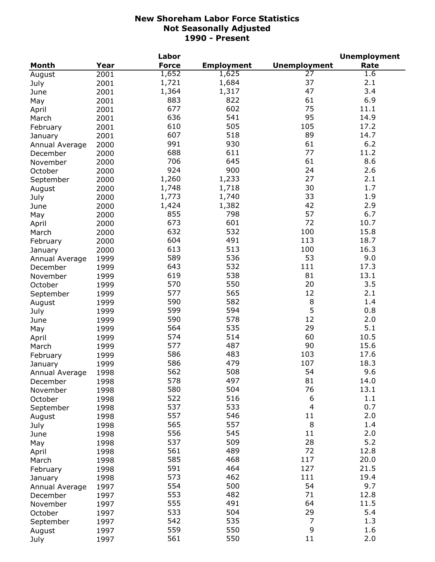|                |      | Labor        |                   |                          | <b>Unemployment</b> |
|----------------|------|--------------|-------------------|--------------------------|---------------------|
| <b>Month</b>   | Year | <b>Force</b> | <b>Employment</b> | <b>Unemployment</b>      | Rate                |
| August         | 2001 | 1,652        | 1,625             | 27                       | 1.6                 |
| July           | 2001 | 1,721        | 1,684             | 37                       | 2.1                 |
| June           | 2001 | 1,364        | 1,317             | 47                       | 3.4                 |
| May            | 2001 | 883          | 822               | 61                       | 6.9                 |
| April          | 2001 | 677          | 602               | 75                       | 11.1                |
| March          | 2001 | 636          | 541               | 95                       | 14.9                |
| February       | 2001 | 610          | 505               | 105                      | 17.2                |
| January        | 2001 | 607          | 518               | 89                       | 14.7                |
|                | 2000 | 991          | 930               | 61                       | 6.2                 |
| Annual Average |      | 688          | 611               | 77                       | 11.2                |
| December       | 2000 | 706          | 645               | 61                       | 8.6                 |
| November       | 2000 | 924          | 900               | 24                       | 2.6                 |
| October        | 2000 |              |                   |                          |                     |
| September      | 2000 | 1,260        | 1,233             | 27                       | 2.1                 |
| August         | 2000 | 1,748        | 1,718             | 30                       | 1.7                 |
| July           | 2000 | 1,773        | 1,740             | 33                       | 1.9                 |
| June           | 2000 | 1,424        | 1,382             | 42                       | 2.9                 |
| May            | 2000 | 855          | 798               | 57                       | 6.7                 |
| April          | 2000 | 673          | 601               | 72                       | 10.7                |
| March          | 2000 | 632          | 532               | 100                      | 15.8                |
| February       | 2000 | 604          | 491               | 113                      | 18.7                |
| January        | 2000 | 613          | 513               | 100                      | 16.3                |
| Annual Average | 1999 | 589          | 536               | 53                       | 9.0                 |
| December       | 1999 | 643          | 532               | 111                      | 17.3                |
| November       | 1999 | 619          | 538               | 81                       | 13.1                |
| October        | 1999 | 570          | 550               | 20                       | 3.5                 |
| September      | 1999 | 577          | 565               | 12                       | 2.1                 |
| August         | 1999 | 590          | 582               | $\,8\,$                  | 1.4                 |
| July           | 1999 | 599          | 594               | 5                        | 0.8                 |
| June           | 1999 | 590          | 578               | 12                       | 2.0                 |
| May            | 1999 | 564          | 535               | 29                       | 5.1                 |
| April          | 1999 | 574          | 514               | 60                       | 10.5                |
| March          | 1999 | 577          | 487               | 90                       | 15.6                |
| February       | 1999 | 586          | 483               | 103                      | 17.6                |
| January        | 1999 | 586          | 479               | 107                      | 18.3                |
| Annual Average | 1998 | 562          | 508               | 54                       | 9.6                 |
| December       | 1998 | 578          | 497               | 81                       | 14.0                |
| November       | 1998 | 580          | 504               | 76                       | 13.1                |
| October        | 1998 | 522          | 516               | 6                        | 1.1                 |
|                | 1998 | 537          | 533               | $\overline{\mathcal{L}}$ | 0.7                 |
| September      |      | 557          | 546               | 11                       | 2.0                 |
| August         | 1998 | 565          | 557               | 8                        | 1.4                 |
| July           | 1998 |              | 545               | 11                       |                     |
| June           | 1998 | 556          |                   |                          | 2.0                 |
| May            | 1998 | 537          | 509               | 28                       | 5.2                 |
| April          | 1998 | 561          | 489               | 72                       | 12.8                |
| March          | 1998 | 585          | 468               | 117                      | 20.0                |
| February       | 1998 | 591          | 464               | 127                      | 21.5                |
| January        | 1998 | 573          | 462               | 111                      | 19.4                |
| Annual Average | 1997 | 554          | 500               | 54                       | 9.7                 |
| December       | 1997 | 553          | 482               | 71                       | 12.8                |
| November       | 1997 | 555          | 491               | 64                       | 11.5                |
| October        | 1997 | 533          | 504               | 29                       | 5.4                 |
| September      | 1997 | 542          | 535               | 7                        | 1.3                 |
| August         | 1997 | 559          | 550               | 9                        | 1.6                 |
| July           | 1997 | 561          | 550               | 11                       | 2.0                 |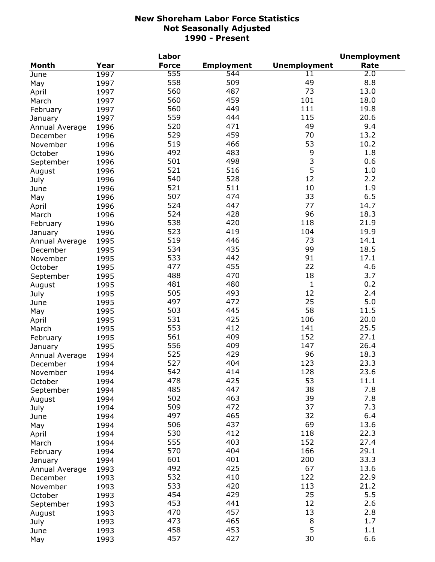|                |      | Labor        |                   |                     | <b>Unemployment</b> |
|----------------|------|--------------|-------------------|---------------------|---------------------|
| <b>Month</b>   | Year | <b>Force</b> | <b>Employment</b> | <b>Unemployment</b> | Rate                |
| June           | 1997 | 555          | 544               | 11                  | 2.0                 |
| May            | 1997 | 558          | 509               | 49                  | 8.8                 |
| April          | 1997 | 560          | 487               | 73                  | 13.0                |
| March          | 1997 | 560          | 459               | 101                 | 18.0                |
| February       | 1997 | 560          | 449               | 111                 | 19.8                |
| January        | 1997 | 559          | 444               | 115                 | 20.6                |
| Annual Average | 1996 | 520          | 471               | 49                  | 9.4                 |
| December       | 1996 | 529          | 459               | 70                  | 13.2                |
| November       | 1996 | 519          | 466               | 53                  | 10.2                |
|                |      | 492          | 483               | 9                   | 1.8                 |
| October        | 1996 | 501          | 498               | 3                   | 0.6                 |
| September      | 1996 | 521          | 516               | 5                   | 1.0                 |
| August         | 1996 |              |                   | 12                  |                     |
| July           | 1996 | 540          | 528               |                     | 2.2                 |
| June           | 1996 | 521          | 511               | 10                  | 1.9                 |
| May            | 1996 | 507          | 474               | 33                  | 6.5                 |
| April          | 1996 | 524          | 447               | 77                  | 14.7                |
| March          | 1996 | 524          | 428               | 96                  | 18.3                |
| February       | 1996 | 538          | 420               | 118                 | 21.9                |
| January        | 1996 | 523          | 419               | 104                 | 19.9                |
| Annual Average | 1995 | 519          | 446               | 73                  | 14.1                |
| December       | 1995 | 534          | 435               | 99                  | 18.5                |
| November       | 1995 | 533          | 442               | 91                  | 17.1                |
| October        | 1995 | 477          | 455               | 22                  | 4.6                 |
| September      | 1995 | 488          | 470               | 18                  | 3.7                 |
| August         | 1995 | 481          | 480               | $\mathbf{1}$        | 0.2                 |
| July           | 1995 | 505          | 493               | 12                  | 2.4                 |
| June           | 1995 | 497          | 472               | 25                  | 5.0                 |
| May            | 1995 | 503          | 445               | 58                  | 11.5                |
| April          | 1995 | 531          | 425               | 106                 | 20.0                |
| March          | 1995 | 553          | 412               | 141                 | 25.5                |
| February       | 1995 | 561          | 409               | 152                 | 27.1                |
| January        | 1995 | 556          | 409               | 147                 | 26.4                |
| Annual Average | 1994 | 525          | 429               | 96                  | 18.3                |
| December       | 1994 | 527          | 404               | 123                 | 23.3                |
| November       | 1994 | 542          | 414               | 128                 | 23.6                |
| October        | 1994 | 478          | 425               | 53                  | 11.1                |
|                | 1994 | 485          | 447               | 38                  | 7.8                 |
| September      | 1994 | 502          | 463               | 39                  | 7.8                 |
| August         |      | 509          | 472               | 37                  | 7.3                 |
| July           | 1994 | 497          | 465               | 32                  | 6.4                 |
| June           | 1994 | 506          | 437               | 69                  | 13.6                |
| May            | 1994 |              | 412               |                     |                     |
| April          | 1994 | 530          |                   | 118                 | 22.3                |
| March          | 1994 | 555          | 403               | 152                 | 27.4                |
| February       | 1994 | 570          | 404               | 166                 | 29.1                |
| January        | 1994 | 601          | 401               | 200                 | 33.3                |
| Annual Average | 1993 | 492          | 425               | 67                  | 13.6                |
| December       | 1993 | 532          | 410               | 122                 | 22.9                |
| November       | 1993 | 533          | 420               | 113                 | 21.2                |
| October        | 1993 | 454          | 429               | 25                  | 5.5                 |
| September      | 1993 | 453          | 441               | 12                  | 2.6                 |
| August         | 1993 | 470          | 457               | 13                  | 2.8                 |
| July           | 1993 | 473          | 465               | 8                   | 1.7                 |
| June           | 1993 | 458          | 453               | 5                   | 1.1                 |
| May            | 1993 | 457          | 427               | 30                  | 6.6                 |